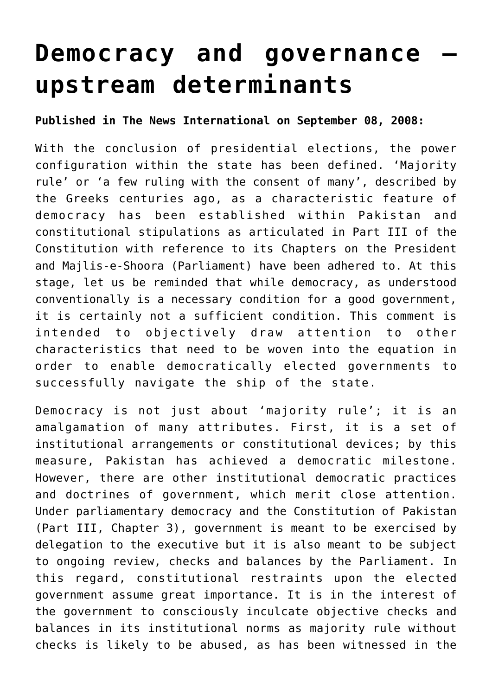## **[Democracy and governance –](http://www.heartfile.org/viewpoint-36-democracy-and-governance-upstream-determinants/) [upstream determinants](http://www.heartfile.org/viewpoint-36-democracy-and-governance-upstream-determinants/)**

## **Published in The News International on September 08, 2008:**

With the conclusion of presidential elections, the power configuration within the state has been defined. 'Majority rule' or 'a few ruling with the consent of many', described by the Greeks centuries ago, as a characteristic feature of democracy has been established within Pakistan and constitutional stipulations as articulated in Part III of the Constitution with reference to its Chapters on the President and Majlis-e-Shoora (Parliament) have been adhered to. At this stage, let us be reminded that while democracy, as understood conventionally is a necessary condition for a good government, it is certainly not a sufficient condition. This comment is intended to objectively draw attention to other characteristics that need to be woven into the equation in order to enable democratically elected governments to successfully navigate the ship of the state.

Democracy is not just about 'majority rule'; it is an amalgamation of many attributes. First, it is a set of institutional arrangements or constitutional devices; by this measure, Pakistan has achieved a democratic milestone. However, there are other institutional democratic practices and doctrines of government, which merit close attention. Under parliamentary democracy and the Constitution of Pakistan (Part III, Chapter 3), government is meant to be exercised by delegation to the executive but it is also meant to be subject to ongoing review, checks and balances by the Parliament. In this regard, constitutional restraints upon the elected government assume great importance. It is in the interest of the government to consciously inculcate objective checks and balances in its institutional norms as majority rule without checks is likely to be abused, as has been witnessed in the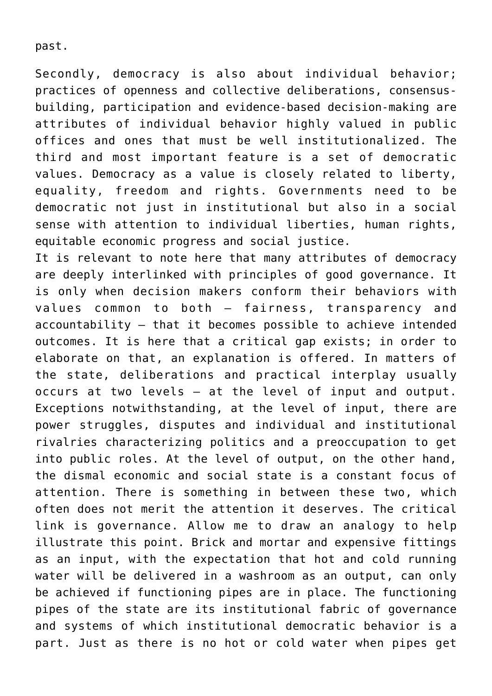past.

Secondly, democracy is also about individual behavior; practices of openness and collective deliberations, consensusbuilding, participation and evidence-based decision-making are attributes of individual behavior highly valued in public offices and ones that must be well institutionalized. The third and most important feature is a set of democratic values. Democracy as a value is closely related to liberty, equality, freedom and rights. Governments need to be democratic not just in institutional but also in a social sense with attention to individual liberties, human rights, equitable economic progress and social justice.

It is relevant to note here that many attributes of democracy are deeply interlinked with principles of good governance. It is only when decision makers conform their behaviors with values common to both – fairness, transparency and accountability – that it becomes possible to achieve intended outcomes. It is here that a critical gap exists; in order to elaborate on that, an explanation is offered. In matters of the state, deliberations and practical interplay usually occurs at two levels – at the level of input and output. Exceptions notwithstanding, at the level of input, there are power struggles, disputes and individual and institutional rivalries characterizing politics and a preoccupation to get into public roles. At the level of output, on the other hand, the dismal economic and social state is a constant focus of attention. There is something in between these two, which often does not merit the attention it deserves. The critical link is governance. Allow me to draw an analogy to help illustrate this point. Brick and mortar and expensive fittings as an input, with the expectation that hot and cold running water will be delivered in a washroom as an output, can only be achieved if functioning pipes are in place. The functioning pipes of the state are its institutional fabric of governance and systems of which institutional democratic behavior is a part. Just as there is no hot or cold water when pipes get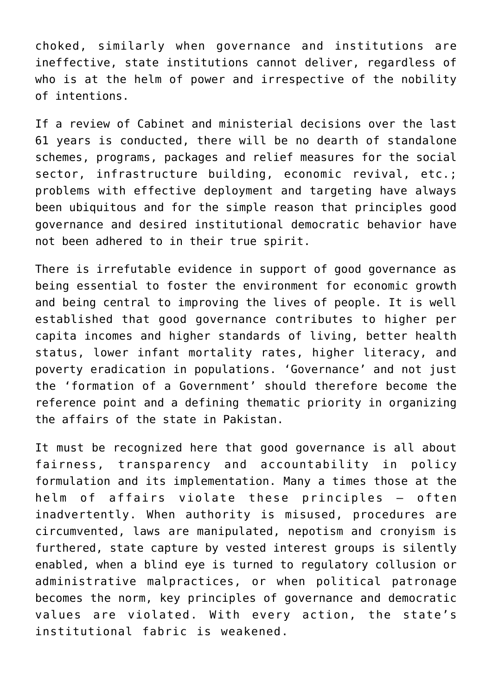choked, similarly when governance and institutions are ineffective, state institutions cannot deliver, regardless of who is at the helm of power and irrespective of the nobility of intentions.

If a review of Cabinet and ministerial decisions over the last 61 years is conducted, there will be no dearth of standalone schemes, programs, packages and relief measures for the social sector, infrastructure building, economic revival, etc.; problems with effective deployment and targeting have always been ubiquitous and for the simple reason that principles good governance and desired institutional democratic behavior have not been adhered to in their true spirit.

There is irrefutable evidence in support of good governance as being essential to foster the environment for economic growth and being central to improving the lives of people. It is well established that good governance contributes to higher per capita incomes and higher standards of living, better health status, lower infant mortality rates, higher literacy, and poverty eradication in populations. 'Governance' and not just the 'formation of a Government' should therefore become the reference point and a defining thematic priority in organizing the affairs of the state in Pakistan.

It must be recognized here that good governance is all about fairness, transparency and accountability in policy formulation and its implementation. Many a times those at the helm of affairs violate these principles – often inadvertently. When authority is misused, procedures are circumvented, laws are manipulated, nepotism and cronyism is furthered, state capture by vested interest groups is silently enabled, when a blind eye is turned to regulatory collusion or administrative malpractices, or when political patronage becomes the norm, key principles of governance and democratic values are violated. With every action, the state's institutional fabric is weakened.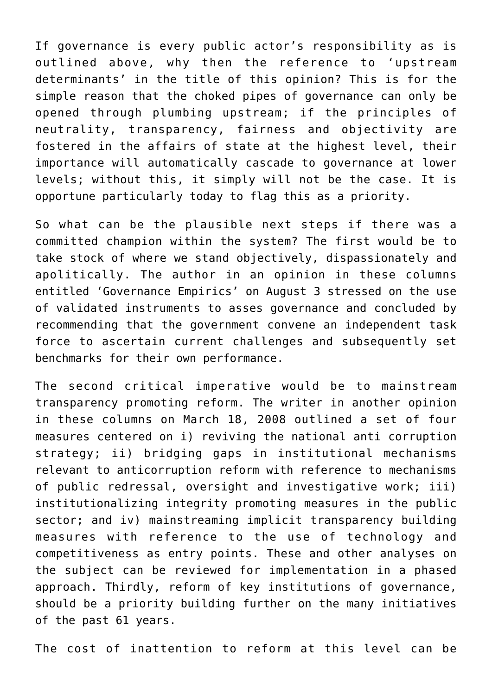If governance is every public actor's responsibility as is outlined above, why then the reference to 'upstream determinants' in the title of this opinion? This is for the simple reason that the choked pipes of governance can only be opened through plumbing upstream; if the principles of neutrality, transparency, fairness and objectivity are fostered in the affairs of state at the highest level, their importance will automatically cascade to governance at lower levels; without this, it simply will not be the case. It is opportune particularly today to flag this as a priority.

So what can be the plausible next steps if there was a committed champion within the system? The first would be to take stock of where we stand objectively, dispassionately and apolitically. The author in an opinion in these columns entitled 'Governance Empirics' on August 3 stressed on the use of validated instruments to asses governance and concluded by recommending that the government convene an independent task force to ascertain current challenges and subsequently set benchmarks for their own performance.

The second critical imperative would be to mainstream transparency promoting reform. The writer in another opinion in these columns on March 18, 2008 outlined a set of four measures centered on i) reviving the national anti corruption strategy; ii) bridging gaps in institutional mechanisms relevant to anticorruption reform with reference to mechanisms of public redressal, oversight and investigative work; iii) institutionalizing integrity promoting measures in the public sector; and iv) mainstreaming implicit transparency building measures with reference to the use of technology and competitiveness as entry points. These and other analyses on the subject can be reviewed for implementation in a phased approach. Thirdly, reform of key institutions of governance, should be a priority building further on the many initiatives of the past 61 years.

The cost of inattention to reform at this level can be